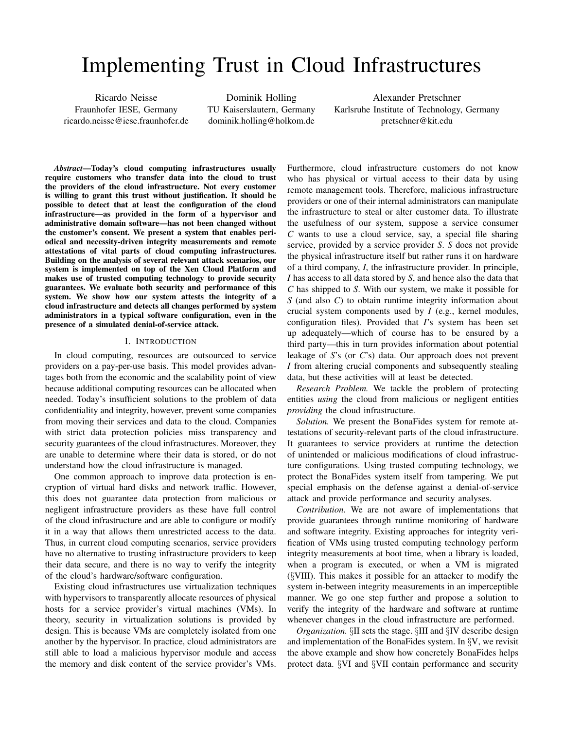# Implementing Trust in Cloud Infrastructures

Ricardo Neisse Fraunhofer IESE, Germany ricardo.neisse@iese.fraunhofer.de

Dominik Holling TU Kaiserslautern, Germany dominik.holling@holkom.de

Alexander Pretschner Karlsruhe Institute of Technology, Germany pretschner@kit.edu

*Abstract*—Today's cloud computing infrastructures usually require customers who transfer data into the cloud to trust the providers of the cloud infrastructure. Not every customer is willing to grant this trust without justification. It should be possible to detect that at least the configuration of the cloud infrastructure—as provided in the form of a hypervisor and administrative domain software—has not been changed without the customer's consent. We present a system that enables periodical and necessity-driven integrity measurements and remote attestations of vital parts of cloud computing infrastructures. Building on the analysis of several relevant attack scenarios, our system is implemented on top of the Xen Cloud Platform and makes use of trusted computing technology to provide security guarantees. We evaluate both security and performance of this system. We show how our system attests the integrity of a cloud infrastructure and detects all changes performed by system administrators in a typical software configuration, even in the presence of a simulated denial-of-service attack.

#### I. INTRODUCTION

In cloud computing, resources are outsourced to service providers on a pay-per-use basis. This model provides advantages both from the economic and the scalability point of view because additional computing resources can be allocated when needed. Today's insufficient solutions to the problem of data confidentiality and integrity, however, prevent some companies from moving their services and data to the cloud. Companies with strict data protection policies miss transparency and security guarantees of the cloud infrastructures. Moreover, they are unable to determine where their data is stored, or do not understand how the cloud infrastructure is managed.

One common approach to improve data protection is encryption of virtual hard disks and network traffic. However, this does not guarantee data protection from malicious or negligent infrastructure providers as these have full control of the cloud infrastructure and are able to configure or modify it in a way that allows them unrestricted access to the data. Thus, in current cloud computing scenarios, service providers have no alternative to trusting infrastructure providers to keep their data secure, and there is no way to verify the integrity of the cloud's hardware/software configuration.

Existing cloud infrastructures use virtualization techniques with hypervisors to transparently allocate resources of physical hosts for a service provider's virtual machines (VMs). In theory, security in virtualization solutions is provided by design. This is because VMs are completely isolated from one another by the hypervisor. In practice, cloud administrators are still able to load a malicious hypervisor module and access the memory and disk content of the service provider's VMs. Furthermore, cloud infrastructure customers do not know who has physical or virtual access to their data by using remote management tools. Therefore, malicious infrastructure providers or one of their internal administrators can manipulate the infrastructure to steal or alter customer data. To illustrate the usefulness of our system, suppose a service consumer *C* wants to use a cloud service, say, a special file sharing service, provided by a service provider *S*. *S* does not provide the physical infrastructure itself but rather runs it on hardware of a third company, *I*, the infrastructure provider. In principle, *I* has access to all data stored by *S*, and hence also the data that *C* has shipped to *S*. With our system, we make it possible for *S* (and also *C*) to obtain runtime integrity information about crucial system components used by *I* (e.g., kernel modules, configuration files). Provided that *I*'s system has been set up adequately—which of course has to be ensured by a third party—this in turn provides information about potential leakage of *S*'s (or *C*'s) data. Our approach does not prevent *I* from altering crucial components and subsequently stealing data, but these activities will at least be detected.

*Research Problem.* We tackle the problem of protecting entities *using* the cloud from malicious or negligent entities *providing* the cloud infrastructure.

*Solution.* We present the BonaFides system for remote attestations of security-relevant parts of the cloud infrastructure. It guarantees to service providers at runtime the detection of unintended or malicious modifications of cloud infrastructure configurations. Using trusted computing technology, we protect the BonaFides system itself from tampering. We put special emphasis on the defense against a denial-of-service attack and provide performance and security analyses.

*Contribution.* We are not aware of implementations that provide guarantees through runtime monitoring of hardware and software integrity. Existing approaches for integrity verification of VMs using trusted computing technology perform integrity measurements at boot time, when a library is loaded, when a program is executed, or when a VM is migrated (§VIII). This makes it possible for an attacker to modify the system in-between integrity measurements in an imperceptible manner. We go one step further and propose a solution to verify the integrity of the hardware and software at runtime whenever changes in the cloud infrastructure are performed.

*Organization.* §II sets the stage. §III and §IV describe design and implementation of the BonaFides system. In §V, we revisit the above example and show how concretely BonaFides helps protect data. §VI and §VII contain performance and security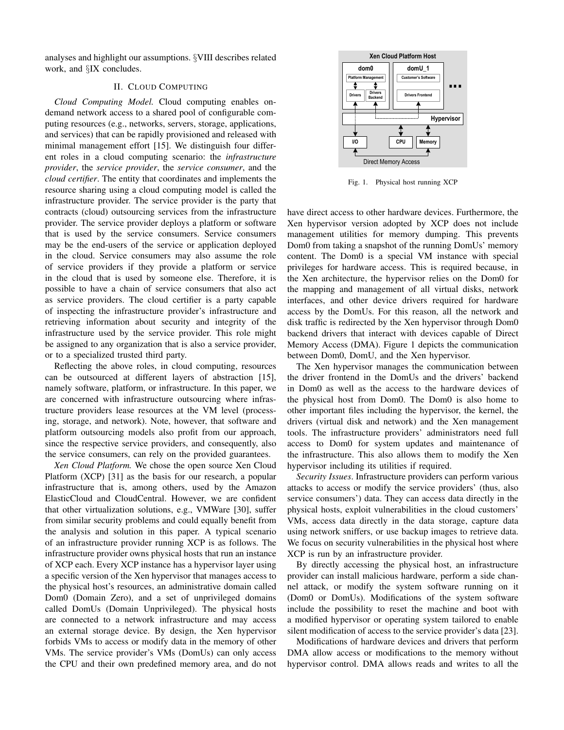analyses and highlight our assumptions. §VIII describes related work, and §IX concludes.

# II. CLOUD COMPUTING

*Cloud Computing Model.* Cloud computing enables ondemand network access to a shared pool of configurable computing resources (e.g., networks, servers, storage, applications, and services) that can be rapidly provisioned and released with minimal management effort [15]. We distinguish four different roles in a cloud computing scenario: the *infrastructure provider*, the *service provider*, the *service consumer*, and the *cloud certifier*. The entity that coordinates and implements the resource sharing using a cloud computing model is called the infrastructure provider. The service provider is the party that contracts (cloud) outsourcing services from the infrastructure provider. The service provider deploys a platform or software that is used by the service consumers. Service consumers may be the end-users of the service or application deployed in the cloud. Service consumers may also assume the role of service providers if they provide a platform or service in the cloud that is used by someone else. Therefore, it is possible to have a chain of service consumers that also act as service providers. The cloud certifier is a party capable of inspecting the infrastructure provider's infrastructure and retrieving information about security and integrity of the infrastructure used by the service provider. This role might be assigned to any organization that is also a service provider, or to a specialized trusted third party.

Reflecting the above roles, in cloud computing, resources can be outsourced at different layers of abstraction [15], namely software, platform, or infrastructure. In this paper, we are concerned with infrastructure outsourcing where infrastructure providers lease resources at the VM level (processing, storage, and network). Note, however, that software and platform outsourcing models also profit from our approach, since the respective service providers, and consequently, also the service consumers, can rely on the provided guarantees.

*Xen Cloud Platform.* We chose the open source Xen Cloud Platform (XCP) [31] as the basis for our research, a popular infrastructure that is, among others, used by the Amazon ElasticCloud and CloudCentral. However, we are confident that other virtualization solutions, e.g., VMWare [30], suffer from similar security problems and could equally benefit from the analysis and solution in this paper. A typical scenario of an infrastructure provider running XCP is as follows. The infrastructure provider owns physical hosts that run an instance of XCP each. Every XCP instance has a hypervisor layer using a specific version of the Xen hypervisor that manages access to the physical host's resources, an administrative domain called Dom0 (Domain Zero), and a set of unprivileged domains called DomUs (Domain Unprivileged). The physical hosts are connected to a network infrastructure and may access an external storage device. By design, the Xen hypervisor forbids VMs to access or modify data in the memory of other VMs. The service provider's VMs (DomUs) can only access the CPU and their own predefined memory area, and do not



Fig. 1. Physical host running XCP

have direct access to other hardware devices. Furthermore, the Xen hypervisor version adopted by XCP does not include management utilities for memory dumping. This prevents Dom0 from taking a snapshot of the running DomUs' memory content. The Dom0 is a special VM instance with special privileges for hardware access. This is required because, in the Xen architecture, the hypervisor relies on the Dom0 for the mapping and management of all virtual disks, network interfaces, and other device drivers required for hardware access by the DomUs. For this reason, all the network and disk traffic is redirected by the Xen hypervisor through Dom0 backend drivers that interact with devices capable of Direct Memory Access (DMA). Figure 1 depicts the communication between Dom0, DomU, and the Xen hypervisor.

The Xen hypervisor manages the communication between the driver frontend in the DomUs and the drivers' backend in Dom0 as well as the access to the hardware devices of the physical host from Dom0. The Dom0 is also home to other important files including the hypervisor, the kernel, the drivers (virtual disk and network) and the Xen management tools. The infrastructure providers' administrators need full access to Dom0 for system updates and maintenance of the infrastructure. This also allows them to modify the Xen hypervisor including its utilities if required.

*Security Issues*. Infrastructure providers can perform various attacks to access or modify the service providers' (thus, also service consumers') data. They can access data directly in the physical hosts, exploit vulnerabilities in the cloud customers' VMs, access data directly in the data storage, capture data using network sniffers, or use backup images to retrieve data. We focus on security vulnerabilities in the physical host where XCP is run by an infrastructure provider.

By directly accessing the physical host, an infrastructure provider can install malicious hardware, perform a side channel attack, or modify the system software running on it (Dom0 or DomUs). Modifications of the system software include the possibility to reset the machine and boot with a modified hypervisor or operating system tailored to enable silent modification of access to the service provider's data [23].

Modifications of hardware devices and drivers that perform DMA allow access or modifications to the memory without hypervisor control. DMA allows reads and writes to all the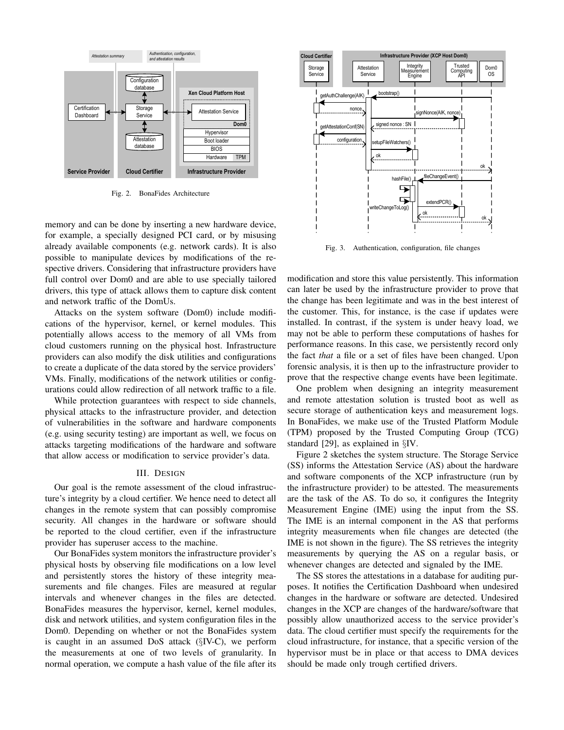

Fig. 2. BonaFides Architecture

memory and can be done by inserting a new hardware device, for example, a specially designed PCI card, or by misusing already available components (e.g. network cards). It is also possible to manipulate devices by modifications of the respective drivers. Considering that infrastructure providers have full control over Dom0 and are able to use specially tailored drivers, this type of attack allows them to capture disk content and network traffic of the DomUs.

Attacks on the system software (Dom0) include modifications of the hypervisor, kernel, or kernel modules. This potentially allows access to the memory of all VMs from cloud customers running on the physical host. Infrastructure providers can also modify the disk utilities and configurations to create a duplicate of the data stored by the service providers' VMs. Finally, modifications of the network utilities or configurations could allow redirection of all network traffic to a file.

While protection guarantees with respect to side channels, physical attacks to the infrastructure provider, and detection of vulnerabilities in the software and hardware components (e.g. using security testing) are important as well, we focus on attacks targeting modifications of the hardware and software that allow access or modification to service provider's data.

## III. DESIGN

Our goal is the remote assessment of the cloud infrastructure's integrity by a cloud certifier. We hence need to detect all changes in the remote system that can possibly compromise security. All changes in the hardware or software should be reported to the cloud certifier, even if the infrastructure provider has superuser access to the machine.

Our BonaFides system monitors the infrastructure provider's physical hosts by observing file modifications on a low level and persistently stores the history of these integrity measurements and file changes. Files are measured at regular intervals and whenever changes in the files are detected. BonaFides measures the hypervisor, kernel, kernel modules, disk and network utilities, and system configuration files in the Dom0. Depending on whether or not the BonaFides system is caught in an assumed DoS attack (§IV-C), we perform the measurements at one of two levels of granularity. In normal operation, we compute a hash value of the file after its



Fig. 3. Authentication, configuration, file changes

modification and store this value persistently. This information can later be used by the infrastructure provider to prove that the change has been legitimate and was in the best interest of the customer. This, for instance, is the case if updates were installed. In contrast, if the system is under heavy load, we may not be able to perform these computations of hashes for performance reasons. In this case, we persistently record only the fact *that* a file or a set of files have been changed. Upon forensic analysis, it is then up to the infrastructure provider to prove that the respective change events have been legitimate.

One problem when designing an integrity measurement and remote attestation solution is trusted boot as well as secure storage of authentication keys and measurement logs. In BonaFides, we make use of the Trusted Platform Module (TPM) proposed by the Trusted Computing Group (TCG) standard [29], as explained in §IV.

Figure 2 sketches the system structure. The Storage Service (SS) informs the Attestation Service (AS) about the hardware and software components of the XCP infrastructure (run by the infrastructure provider) to be attested. The measurements are the task of the AS. To do so, it configures the Integrity Measurement Engine (IME) using the input from the SS. The IME is an internal component in the AS that performs integrity measurements when file changes are detected (the IME is not shown in the figure). The SS retrieves the integrity measurements by querying the AS on a regular basis, or whenever changes are detected and signaled by the IME.

The SS stores the attestations in a database for auditing purposes. It notifies the Certification Dashboard when undesired changes in the hardware or software are detected. Undesired changes in the XCP are changes of the hardware/software that possibly allow unauthorized access to the service provider's data. The cloud certifier must specify the requirements for the cloud infrastructure, for instance, that a specific version of the hypervisor must be in place or that access to DMA devices should be made only trough certified drivers.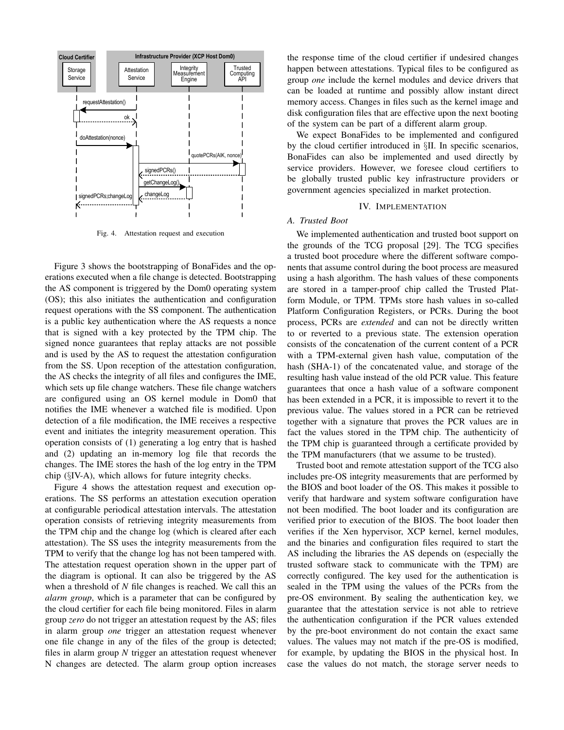

Fig. 4. Attestation request and execution

Figure 3 shows the bootstrapping of BonaFides and the operations executed when a file change is detected. Bootstrapping the AS component is triggered by the Dom0 operating system (OS); this also initiates the authentication and configuration request operations with the SS component. The authentication is a public key authentication where the AS requests a nonce that is signed with a key protected by the TPM chip. The signed nonce guarantees that replay attacks are not possible and is used by the AS to request the attestation configuration from the SS. Upon reception of the attestation configuration, the AS checks the integrity of all files and configures the IME, which sets up file change watchers. These file change watchers are configured using an OS kernel module in Dom0 that notifies the IME whenever a watched file is modified. Upon detection of a file modification, the IME receives a respective event and initiates the integrity measurement operation. This operation consists of (1) generating a log entry that is hashed and (2) updating an in-memory log file that records the changes. The IME stores the hash of the log entry in the TPM chip (§IV-A), which allows for future integrity checks.

Figure 4 shows the attestation request and execution operations. The SS performs an attestation execution operation at configurable periodical attestation intervals. The attestation operation consists of retrieving integrity measurements from the TPM chip and the change log (which is cleared after each attestation). The SS uses the integrity measurements from the TPM to verify that the change log has not been tampered with. The attestation request operation shown in the upper part of the diagram is optional. It can also be triggered by the AS when a threshold of *N* file changes is reached. We call this an *alarm group*, which is a parameter that can be configured by the cloud certifier for each file being monitored. Files in alarm group *zero* do not trigger an attestation request by the AS; files in alarm group *one* trigger an attestation request whenever one file change in any of the files of the group is detected; files in alarm group *N* trigger an attestation request whenever N changes are detected. The alarm group option increases

the response time of the cloud certifier if undesired changes happen between attestations. Typical files to be configured as group *one* include the kernel modules and device drivers that can be loaded at runtime and possibly allow instant direct memory access. Changes in files such as the kernel image and disk configuration files that are effective upon the next booting of the system can be part of a different alarm group.

We expect BonaFides to be implemented and configured by the cloud certifier introduced in §II. In specific scenarios, BonaFides can also be implemented and used directly by service providers. However, we foresee cloud certifiers to be globally trusted public key infrastructure providers or government agencies specialized in market protection.

#### IV. IMPLEMENTATION

#### *A. Trusted Boot*

We implemented authentication and trusted boot support on the grounds of the TCG proposal [29]. The TCG specifies a trusted boot procedure where the different software components that assume control during the boot process are measured using a hash algorithm. The hash values of these components are stored in a tamper-proof chip called the Trusted Platform Module, or TPM. TPMs store hash values in so-called Platform Configuration Registers, or PCRs. During the boot process, PCRs are *extended* and can not be directly written to or reverted to a previous state. The extension operation consists of the concatenation of the current content of a PCR with a TPM-external given hash value, computation of the hash (SHA-1) of the concatenated value, and storage of the resulting hash value instead of the old PCR value. This feature guarantees that once a hash value of a software component has been extended in a PCR, it is impossible to revert it to the previous value. The values stored in a PCR can be retrieved together with a signature that proves the PCR values are in fact the values stored in the TPM chip. The authenticity of the TPM chip is guaranteed through a certificate provided by the TPM manufacturers (that we assume to be trusted).

Trusted boot and remote attestation support of the TCG also includes pre-OS integrity measurements that are performed by the BIOS and boot loader of the OS. This makes it possible to verify that hardware and system software configuration have not been modified. The boot loader and its configuration are verified prior to execution of the BIOS. The boot loader then verifies if the Xen hypervisor, XCP kernel, kernel modules, and the binaries and configuration files required to start the AS including the libraries the AS depends on (especially the trusted software stack to communicate with the TPM) are correctly configured. The key used for the authentication is sealed in the TPM using the values of the PCRs from the pre-OS environment. By sealing the authentication key, we guarantee that the attestation service is not able to retrieve the authentication configuration if the PCR values extended by the pre-boot environment do not contain the exact same values. The values may not match if the pre-OS is modified, for example, by updating the BIOS in the physical host. In case the values do not match, the storage server needs to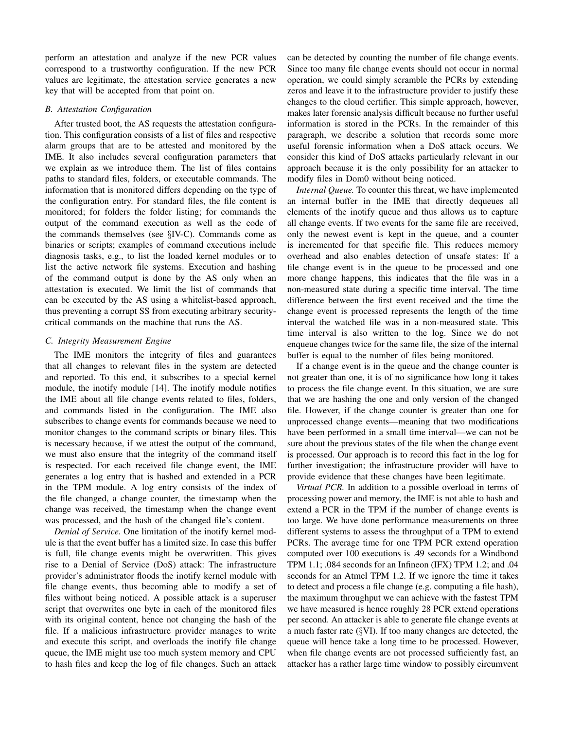perform an attestation and analyze if the new PCR values correspond to a trustworthy configuration. If the new PCR values are legitimate, the attestation service generates a new key that will be accepted from that point on.

### *B. Attestation Configuration*

After trusted boot, the AS requests the attestation configuration. This configuration consists of a list of files and respective alarm groups that are to be attested and monitored by the IME. It also includes several configuration parameters that we explain as we introduce them. The list of files contains paths to standard files, folders, or executable commands. The information that is monitored differs depending on the type of the configuration entry. For standard files, the file content is monitored; for folders the folder listing; for commands the output of the command execution as well as the code of the commands themselves (see §IV-C). Commands come as binaries or scripts; examples of command executions include diagnosis tasks, e.g., to list the loaded kernel modules or to list the active network file systems. Execution and hashing of the command output is done by the AS only when an attestation is executed. We limit the list of commands that can be executed by the AS using a whitelist-based approach, thus preventing a corrupt SS from executing arbitrary securitycritical commands on the machine that runs the AS.

# *C. Integrity Measurement Engine*

The IME monitors the integrity of files and guarantees that all changes to relevant files in the system are detected and reported. To this end, it subscribes to a special kernel module, the inotify module [14]. The inotify module notifies the IME about all file change events related to files, folders, and commands listed in the configuration. The IME also subscribes to change events for commands because we need to monitor changes to the command scripts or binary files. This is necessary because, if we attest the output of the command, we must also ensure that the integrity of the command itself is respected. For each received file change event, the IME generates a log entry that is hashed and extended in a PCR in the TPM module. A log entry consists of the index of the file changed, a change counter, the timestamp when the change was received, the timestamp when the change event was processed, and the hash of the changed file's content.

*Denial of Service.* One limitation of the inotify kernel module is that the event buffer has a limited size. In case this buffer is full, file change events might be overwritten. This gives rise to a Denial of Service (DoS) attack: The infrastructure provider's administrator floods the inotify kernel module with file change events, thus becoming able to modify a set of files without being noticed. A possible attack is a superuser script that overwrites one byte in each of the monitored files with its original content, hence not changing the hash of the file. If a malicious infrastructure provider manages to write and execute this script, and overloads the inotify file change queue, the IME might use too much system memory and CPU to hash files and keep the log of file changes. Such an attack can be detected by counting the number of file change events. Since too many file change events should not occur in normal operation, we could simply scramble the PCRs by extending zeros and leave it to the infrastructure provider to justify these changes to the cloud certifier. This simple approach, however, makes later forensic analysis difficult because no further useful information is stored in the PCRs. In the remainder of this paragraph, we describe a solution that records some more useful forensic information when a DoS attack occurs. We consider this kind of DoS attacks particularly relevant in our approach because it is the only possibility for an attacker to modify files in Dom0 without being noticed.

*Internal Queue.* To counter this threat, we have implemented an internal buffer in the IME that directly dequeues all elements of the inotify queue and thus allows us to capture all change events. If two events for the same file are received, only the newest event is kept in the queue, and a counter is incremented for that specific file. This reduces memory overhead and also enables detection of unsafe states: If a file change event is in the queue to be processed and one more change happens, this indicates that the file was in a non-measured state during a specific time interval. The time difference between the first event received and the time the change event is processed represents the length of the time interval the watched file was in a non-measured state. This time interval is also written to the log. Since we do not enqueue changes twice for the same file, the size of the internal buffer is equal to the number of files being monitored.

If a change event is in the queue and the change counter is not greater than one, it is of no significance how long it takes to process the file change event. In this situation, we are sure that we are hashing the one and only version of the changed file. However, if the change counter is greater than one for unprocessed change events—meaning that two modifications have been performed in a small time interval—we can not be sure about the previous states of the file when the change event is processed. Our approach is to record this fact in the log for further investigation; the infrastructure provider will have to provide evidence that these changes have been legitimate.

*Virtual PCR.* In addition to a possible overload in terms of processing power and memory, the IME is not able to hash and extend a PCR in the TPM if the number of change events is too large. We have done performance measurements on three different systems to assess the throughput of a TPM to extend PCRs. The average time for one TPM PCR extend operation computed over 100 executions is .49 seconds for a Windbond TPM 1.1; .084 seconds for an Infineon (IFX) TPM 1.2; and .04 seconds for an Atmel TPM 1.2. If we ignore the time it takes to detect and process a file change (e.g. computing a file hash), the maximum throughput we can achieve with the fastest TPM we have measured is hence roughly 28 PCR extend operations per second. An attacker is able to generate file change events at a much faster rate (§VI). If too many changes are detected, the queue will hence take a long time to be processed. However, when file change events are not processed sufficiently fast, an attacker has a rather large time window to possibly circumvent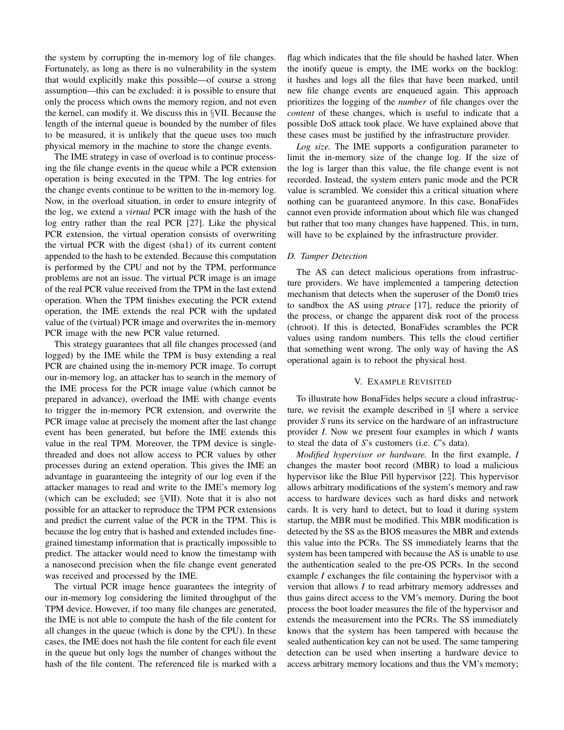the system by corrupting the in-memory log of file changes. Fortunately, as long as there is no vulnerability in the system that would explicitly make this possible—of course a strong assumption—this can be excluded: it is possible to ensure that only the process which owns the memory region, and not even the kernel, can modify it. We discuss this in §VII. Because the length of the internal queue is bounded by the number of files to be measured, it is unlikely that the queue uses too much physical memory in the machine to store the change events.

The IME strategy in case of overload is to continue processing the file change events in the queue while a PCR extension operation is being executed in the TPM. The log entries for the change events continue to be written to the in-memory log. Now, in the overload situation, in order to ensure integrity of the log, we extend a *virtual* PCR image with the hash of the log entry rather than the real PCR [27]. Like the physical PCR extension, the virtual operation consists of overwriting the virtual PCR with the digest (sha1) of its current content appended to the hash to be extended. Because this computation is performed by the CPU and not by the TPM, performance problems are not an issue. The virtual PCR image is an image of the real PCR value received from the TPM in the last extend operation. When the TPM finishes executing the PCR extend operation, the IME extends the real PCR with the updated value of the (virtual) PCR image and overwrites the in-memory PCR image with the new PCR value returned.

This strategy guarantees that all file changes processed (and logged) by the IME while the TPM is busy extending a real PCR are chained using the in-memory PCR image. To corrupt our in-memory log, an attacker has to search in the memory of the IME process for the PCR image value (which cannot be prepared in advance), overload the IME with change events to trigger the in-memory PCR extension, and overwrite the PCR image value at precisely the moment after the last change event has been generated, but before the IME extends this value in the real TPM. Moreover, the TPM device is singlethreaded and does not allow access to PCR values by other processes during an extend operation. This gives the IME an advantage in guaranteeing the integrity of our log even if the attacker manages to read and write to the IME's memory log (which can be excluded; see §VII). Note that it is also not possible for an attacker to reproduce the TPM PCR extensions and predict the current value of the PCR in the TPM. This is because the log entry that is hashed and extended includes finegrained timestamp information that is practically impossible to predict. The attacker would need to know the timestamp with a nanosecond precision when the file change event generated was received and processed by the IME.

The virtual PCR image hence guarantees the integrity of our in-memory log considering the limited throughput of the TPM device. However, if too many file changes are generated, the IME is not able to compute the hash of the file content for all changes in the queue (which is done by the CPU). In these cases, the IME does not hash the file content for each file event in the queue but only logs the number of changes without the hash of the file content. The referenced file is marked with a flag which indicates that the file should be hashed later. When the inotify queue is empty, the IME works on the backlog: it hashes and logs all the files that have been marked, until new file change events are enqueued again. This approach prioritizes the logging of the *number* of file changes over the *content* of these changes, which is useful to indicate that a possible DoS attack took place. We have explained above that these cases must be justified by the infrastructure provider.

*Log size.* The IME supports a configuration parameter to limit the in-memory size of the change log. If the size of the log is larger than this value, the file change event is not recorded. Instead, the system enters panic mode and the PCR value is scrambled. We consider this a critical situation where nothing can be guaranteed anymore. In this case, BonaFides cannot even provide information about which file was changed but rather that too many changes have happened. This, in turn, will have to be explained by the infrastructure provider.

#### *D. Tamper Detection*

The AS can detect malicious operations from infrastructure providers. We have implemented a tampering detection mechanism that detects when the superuser of the Dom0 tries to sandbox the AS using *ptrace* [17], reduce the priority of the process, or change the apparent disk root of the process (chroot). If this is detected, BonaFides scrambles the PCR values using random numbers. This tells the cloud certifier that something went wrong. The only way of having the AS operational again is to reboot the physical host.

#### V. EXAMPLE REVISITED

To illustrate how BonaFides helps secure a cloud infrastructure, we revisit the example described in §I where a service provider *S* runs its service on the hardware of an infrastructure provider *I*. Now we present four examples in which *I* wants to steal the data of *S*'s customers (i.e. *C*'s data).

*Modified hypervisor or hardware.* In the first example, *I* changes the master boot record (MBR) to load a malicious hypervisor like the Blue Pill hypervisor [22]. This hypervisor allows arbitrary modifications of the system's memory and raw access to hardware devices such as hard disks and network cards. It is very hard to detect, but to load it during system startup, the MBR must be modified. This MBR modification is detected by the SS as the BIOS measures the MBR and extends this value into the PCRs. The SS immediately learns that the system has been tampered with because the AS is unable to use the authentication sealed to the pre-OS PCRs. In the second example *I* exchanges the file containing the hypervisor with a version that allows *I* to read arbitrary memory addresses and thus gains direct access to the VM's memory. During the boot process the boot loader measures the file of the hypervisor and extends the measurement into the PCRs. The SS immediately knows that the system has been tampered with because the sealed authentication key can not be used. The same tampering detection can be used when inserting a hardware device to access arbitrary memory locations and thus the VM's memory;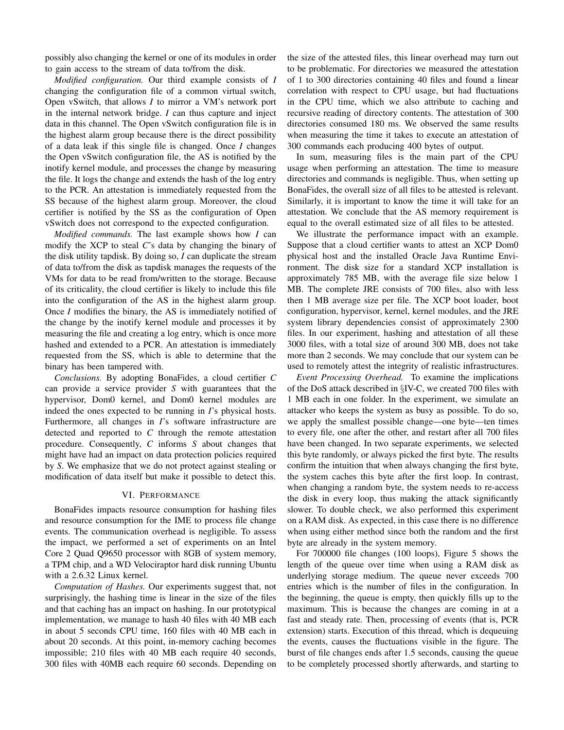possibly also changing the kernel or one of its modules in order to gain access to the stream of data to/from the disk.

*Modified configuration.* Our third example consists of *I* changing the configuration file of a common virtual switch, Open vSwitch, that allows *I* to mirror a VM's network port in the internal network bridge. *I* can thus capture and inject data in this channel. The Open vSwitch configuration file is in the highest alarm group because there is the direct possibility of a data leak if this single file is changed. Once *I* changes the Open vSwitch configuration file, the AS is notified by the inotify kernel module, and processes the change by measuring the file. It logs the change and extends the hash of the log entry to the PCR. An attestation is immediately requested from the SS because of the highest alarm group. Moreover, the cloud certifier is notified by the SS as the configuration of Open vSwitch does not correspond to the expected configuration.

*Modified commands.* The last example shows how *I* can modify the XCP to steal *C*'s data by changing the binary of the disk utility tapdisk. By doing so, *I* can duplicate the stream of data to/from the disk as tapdisk manages the requests of the VMs for data to be read from/written to the storage. Because of its criticality, the cloud certifier is likely to include this file into the configuration of the AS in the highest alarm group. Once *I* modifies the binary, the AS is immediately notified of the change by the inotify kernel module and processes it by measuring the file and creating a log entry, which is once more hashed and extended to a PCR. An attestation is immediately requested from the SS, which is able to determine that the binary has been tampered with.

*Conclusions.* By adopting BonaFides, a cloud certifier *C* can provide a service provider *S* with guarantees that the hypervisor, Dom0 kernel, and Dom0 kernel modules are indeed the ones expected to be running in *I*'s physical hosts. Furthermore, all changes in *I*'s software infrastructure are detected and reported to *C* through the remote attestation procedure. Consequently, *C* informs *S* about changes that might have had an impact on data protection policies required by *S*. We emphasize that we do not protect against stealing or modification of data itself but make it possible to detect this.

#### VI. PERFORMANCE

BonaFides impacts resource consumption for hashing files and resource consumption for the IME to process file change events. The communication overhead is negligible. To assess the impact, we performed a set of experiments on an Intel Core 2 Quad Q9650 processor with 8GB of system memory, a TPM chip, and a WD Velociraptor hard disk running Ubuntu with a 2.6.32 Linux kernel.

*Computation of Hashes.* Our experiments suggest that, not surprisingly, the hashing time is linear in the size of the files and that caching has an impact on hashing. In our prototypical implementation, we manage to hash 40 files with 40 MB each in about 5 seconds CPU time, 160 files with 40 MB each in about 20 seconds. At this point, in-memory caching becomes impossible; 210 files with 40 MB each require 40 seconds, 300 files with 40MB each require 60 seconds. Depending on the size of the attested files, this linear overhead may turn out to be problematic. For directories we measured the attestation of 1 to 300 directories containing 40 files and found a linear correlation with respect to CPU usage, but had fluctuations in the CPU time, which we also attribute to caching and recursive reading of directory contents. The attestation of 300 directories consumed 180 ms. We observed the same results when measuring the time it takes to execute an attestation of 300 commands each producing 400 bytes of output.

In sum, measuring files is the main part of the CPU usage when performing an attestation. The time to measure directories and commands is negligible. Thus, when setting up BonaFides, the overall size of all files to be attested is relevant. Similarly, it is important to know the time it will take for an attestation. We conclude that the AS memory requirement is equal to the overall estimated size of all files to be attested.

We illustrate the performance impact with an example. Suppose that a cloud certifier wants to attest an XCP Dom0 physical host and the installed Oracle Java Runtime Environment. The disk size for a standard XCP installation is approximately 785 MB, with the average file size below 1 MB. The complete JRE consists of 700 files, also with less then 1 MB average size per file. The XCP boot loader, boot configuration, hypervisor, kernel, kernel modules, and the JRE system library dependencies consist of approximately 2300 files. In our experiment, hashing and attestation of all these 3000 files, with a total size of around 300 MB, does not take more than 2 seconds. We may conclude that our system can be used to remotely attest the integrity of realistic infrastructures.

*Event Processing Overhead.* To examine the implications of the DoS attack described in §IV-C, we created 700 files with 1 MB each in one folder. In the experiment, we simulate an attacker who keeps the system as busy as possible. To do so, we apply the smallest possible change—one byte—ten times to every file, one after the other, and restart after all 700 files have been changed. In two separate experiments, we selected this byte randomly, or always picked the first byte. The results confirm the intuition that when always changing the first byte, the system caches this byte after the first loop. In contrast, when changing a random byte, the system needs to re-access the disk in every loop, thus making the attack significantly slower. To double check, we also performed this experiment on a RAM disk. As expected, in this case there is no difference when using either method since both the random and the first byte are already in the system memory.

For 700000 file changes (100 loops), Figure 5 shows the length of the queue over time when using a RAM disk as underlying storage medium. The queue never exceeds 700 entries which is the number of files in the configuration. In the beginning, the queue is empty, then quickly fills up to the maximum. This is because the changes are coming in at a fast and steady rate. Then, processing of events (that is, PCR extension) starts. Execution of this thread, which is dequeuing the events, causes the fluctuations visible in the figure. The burst of file changes ends after 1.5 seconds, causing the queue to be completely processed shortly afterwards, and starting to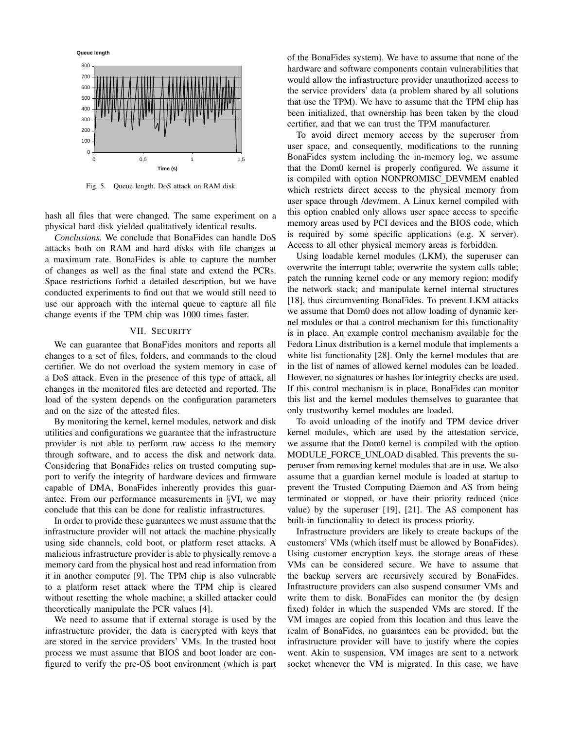

Fig. 5. Queue length, DoS attack on RAM disk

hash all files that were changed. The same experiment on a physical hard disk yielded qualitatively identical results.

*Conclusions.* We conclude that BonaFides can handle DoS attacks both on RAM and hard disks with file changes at a maximum rate. BonaFides is able to capture the number of changes as well as the final state and extend the PCRs. Space restrictions forbid a detailed description, but we have conducted experiments to find out that we would still need to use our approach with the internal queue to capture all file change events if the TPM chip was 1000 times faster.

#### VII. SECURITY

We can guarantee that BonaFides monitors and reports all changes to a set of files, folders, and commands to the cloud certifier. We do not overload the system memory in case of a DoS attack. Even in the presence of this type of attack, all changes in the monitored files are detected and reported. The load of the system depends on the configuration parameters and on the size of the attested files.

By monitoring the kernel, kernel modules, network and disk utilities and configurations we guarantee that the infrastructure provider is not able to perform raw access to the memory through software, and to access the disk and network data. Considering that BonaFides relies on trusted computing support to verify the integrity of hardware devices and firmware capable of DMA, BonaFides inherently provides this guarantee. From our performance measurements in §VI, we may conclude that this can be done for realistic infrastructures.

In order to provide these guarantees we must assume that the infrastructure provider will not attack the machine physically using side channels, cold boot, or platform reset attacks. A malicious infrastructure provider is able to physically remove a memory card from the physical host and read information from it in another computer [9]. The TPM chip is also vulnerable to a platform reset attack where the TPM chip is cleared without resetting the whole machine; a skilled attacker could theoretically manipulate the PCR values [4].

We need to assume that if external storage is used by the infrastructure provider, the data is encrypted with keys that are stored in the service providers' VMs. In the trusted boot process we must assume that BIOS and boot loader are configured to verify the pre-OS boot environment (which is part

of the BonaFides system). We have to assume that none of the hardware and software components contain vulnerabilities that would allow the infrastructure provider unauthorized access to the service providers' data (a problem shared by all solutions that use the TPM). We have to assume that the TPM chip has been initialized, that ownership has been taken by the cloud certifier, and that we can trust the TPM manufacturer.

To avoid direct memory access by the superuser from user space, and consequently, modifications to the running BonaFides system including the in-memory log, we assume that the Dom0 kernel is properly configured. We assume it is compiled with option NONPROMISC\_DEVMEM enabled which restricts direct access to the physical memory from user space through /dev/mem. A Linux kernel compiled with this option enabled only allows user space access to specific memory areas used by PCI devices and the BIOS code, which is required by some specific applications (e.g. X server). Access to all other physical memory areas is forbidden.

Using loadable kernel modules (LKM), the superuser can overwrite the interrupt table; overwrite the system calls table; patch the running kernel code or any memory region; modify the network stack; and manipulate kernel internal structures [18], thus circumventing BonaFides. To prevent LKM attacks we assume that Dom0 does not allow loading of dynamic kernel modules or that a control mechanism for this functionality is in place. An example control mechanism available for the Fedora Linux distribution is a kernel module that implements a white list functionality [28]. Only the kernel modules that are in the list of names of allowed kernel modules can be loaded. However, no signatures or hashes for integrity checks are used. If this control mechanism is in place, BonaFides can monitor this list and the kernel modules themselves to guarantee that only trustworthy kernel modules are loaded.

To avoid unloading of the inotify and TPM device driver kernel modules, which are used by the attestation service, we assume that the Dom0 kernel is compiled with the option MODULE FORCE UNLOAD disabled. This prevents the superuser from removing kernel modules that are in use. We also assume that a guardian kernel module is loaded at startup to prevent the Trusted Computing Daemon and AS from being terminated or stopped, or have their priority reduced (nice value) by the superuser [19], [21]. The AS component has built-in functionality to detect its process priority.

Infrastructure providers are likely to create backups of the customers' VMs (which itself must be allowed by BonaFides). Using customer encryption keys, the storage areas of these VMs can be considered secure. We have to assume that the backup servers are recursively secured by BonaFides. Infrastructure providers can also suspend consumer VMs and write them to disk. BonaFides can monitor the (by design fixed) folder in which the suspended VMs are stored. If the VM images are copied from this location and thus leave the realm of BonaFides, no guarantees can be provided; but the infrastructure provider will have to justify where the copies went. Akin to suspension, VM images are sent to a network socket whenever the VM is migrated. In this case, we have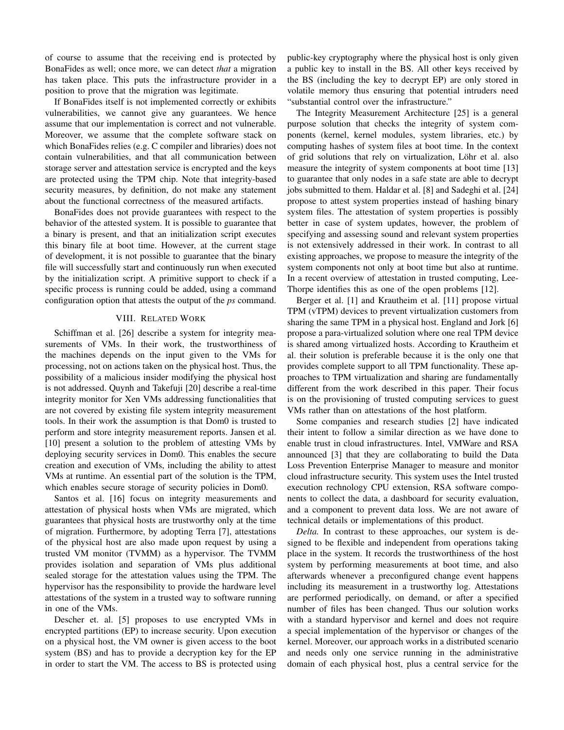of course to assume that the receiving end is protected by BonaFides as well; once more, we can detect *that* a migration has taken place. This puts the infrastructure provider in a position to prove that the migration was legitimate.

If BonaFides itself is not implemented correctly or exhibits vulnerabilities, we cannot give any guarantees. We hence assume that our implementation is correct and not vulnerable. Moreover, we assume that the complete software stack on which BonaFides relies (e.g. C compiler and libraries) does not contain vulnerabilities, and that all communication between storage server and attestation service is encrypted and the keys are protected using the TPM chip. Note that integrity-based security measures, by definition, do not make any statement about the functional correctness of the measured artifacts.

BonaFides does not provide guarantees with respect to the behavior of the attested system. It is possible to guarantee that a binary is present, and that an initialization script executes this binary file at boot time. However, at the current stage of development, it is not possible to guarantee that the binary file will successfully start and continuously run when executed by the initialization script. A primitive support to check if a specific process is running could be added, using a command configuration option that attests the output of the *ps* command.

## VIII. RELATED WORK

Schiffman et al. [26] describe a system for integrity measurements of VMs. In their work, the trustworthiness of the machines depends on the input given to the VMs for processing, not on actions taken on the physical host. Thus, the possibility of a malicious insider modifying the physical host is not addressed. Quynh and Takefuji [20] describe a real-time integrity monitor for Xen VMs addressing functionalities that are not covered by existing file system integrity measurement tools. In their work the assumption is that Dom0 is trusted to perform and store integrity measurement reports. Jansen et al. [10] present a solution to the problem of attesting VMs by deploying security services in Dom0. This enables the secure creation and execution of VMs, including the ability to attest VMs at runtime. An essential part of the solution is the TPM, which enables secure storage of security policies in Dom0.

Santos et al. [16] focus on integrity measurements and attestation of physical hosts when VMs are migrated, which guarantees that physical hosts are trustworthy only at the time of migration. Furthermore, by adopting Terra [7], attestations of the physical host are also made upon request by using a trusted VM monitor (TVMM) as a hypervisor. The TVMM provides isolation and separation of VMs plus additional sealed storage for the attestation values using the TPM. The hypervisor has the responsibility to provide the hardware level attestations of the system in a trusted way to software running in one of the VMs.

Descher et. al. [5] proposes to use encrypted VMs in encrypted partitions (EP) to increase security. Upon execution on a physical host, the VM owner is given access to the boot system (BS) and has to provide a decryption key for the EP in order to start the VM. The access to BS is protected using public-key cryptography where the physical host is only given a public key to install in the BS. All other keys received by the BS (including the key to decrypt EP) are only stored in volatile memory thus ensuring that potential intruders need "substantial control over the infrastructure."

The Integrity Measurement Architecture [25] is a general purpose solution that checks the integrity of system components (kernel, kernel modules, system libraries, etc.) by computing hashes of system files at boot time. In the context of grid solutions that rely on virtualization, Löhr et al. also measure the integrity of system components at boot time [13] to guarantee that only nodes in a safe state are able to decrypt jobs submitted to them. Haldar et al. [8] and Sadeghi et al. [24] propose to attest system properties instead of hashing binary system files. The attestation of system properties is possibly better in case of system updates, however, the problem of specifying and assessing sound and relevant system properties is not extensively addressed in their work. In contrast to all existing approaches, we propose to measure the integrity of the system components not only at boot time but also at runtime. In a recent overview of attestation in trusted computing, Lee-Thorpe identifies this as one of the open problems [12].

Berger et al. [1] and Krautheim et al. [11] propose virtual TPM (vTPM) devices to prevent virtualization customers from sharing the same TPM in a physical host. England and Jork [6] propose a para-virtualized solution where one real TPM device is shared among virtualized hosts. According to Krautheim et al. their solution is preferable because it is the only one that provides complete support to all TPM functionality. These approaches to TPM virtualization and sharing are fundamentally different from the work described in this paper. Their focus is on the provisioning of trusted computing services to guest VMs rather than on attestations of the host platform.

Some companies and research studies [2] have indicated their intent to follow a similar direction as we have done to enable trust in cloud infrastructures. Intel, VMWare and RSA announced [3] that they are collaborating to build the Data Loss Prevention Enterprise Manager to measure and monitor cloud infrastructure security. This system uses the Intel trusted execution rechnology CPU extension, RSA software components to collect the data, a dashboard for security evaluation, and a component to prevent data loss. We are not aware of technical details or implementations of this product.

*Delta.* In contrast to these approaches, our system is designed to be flexible and independent from operations taking place in the system. It records the trustworthiness of the host system by performing measurements at boot time, and also afterwards whenever a preconfigured change event happens including its measurement in a trustworthy log. Attestations are performed periodically, on demand, or after a specified number of files has been changed. Thus our solution works with a standard hypervisor and kernel and does not require a special implementation of the hypervisor or changes of the kernel. Moreover, our approach works in a distributed scenario and needs only one service running in the administrative domain of each physical host, plus a central service for the